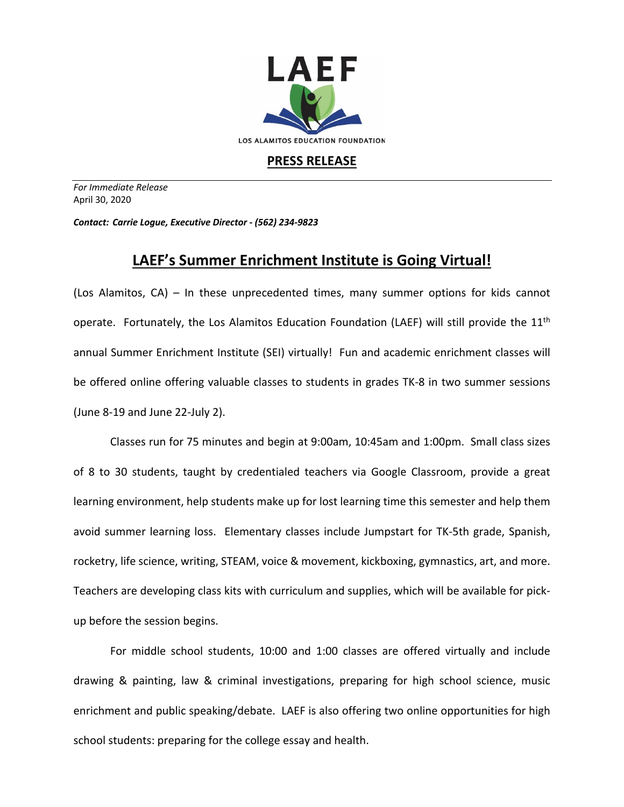

## **PRESS RELEASE**

*For Immediate Release*  April 30, 2020

*Contact: Carrie Logue, Executive Director - (562) 234-9823*

## **LAEF's Summer Enrichment Institute is Going Virtual!**

(Los Alamitos, CA) – In these unprecedented times, many summer options for kids cannot operate. Fortunately, the Los Alamitos Education Foundation (LAEF) will still provide the 11<sup>th</sup> annual Summer Enrichment Institute (SEI) virtually! Fun and academic enrichment classes will be offered online offering valuable classes to students in grades TK-8 in two summer sessions (June 8-19 and June 22-July 2).

Classes run for 75 minutes and begin at 9:00am, 10:45am and 1:00pm. Small class sizes of 8 to 30 students, taught by credentialed teachers via Google Classroom, provide a great learning environment, help students make up for lost learning time this semester and help them avoid summer learning loss. Elementary classes include Jumpstart for TK-5th grade, Spanish, rocketry, life science, writing, STEAM, voice & movement, kickboxing, gymnastics, art, and more. Teachers are developing class kits with curriculum and supplies, which will be available for pickup before the session begins.

For middle school students, 10:00 and 1:00 classes are offered virtually and include drawing & painting, law & criminal investigations, preparing for high school science, music enrichment and public speaking/debate. LAEF is also offering two online opportunities for high school students: preparing for the college essay and health.